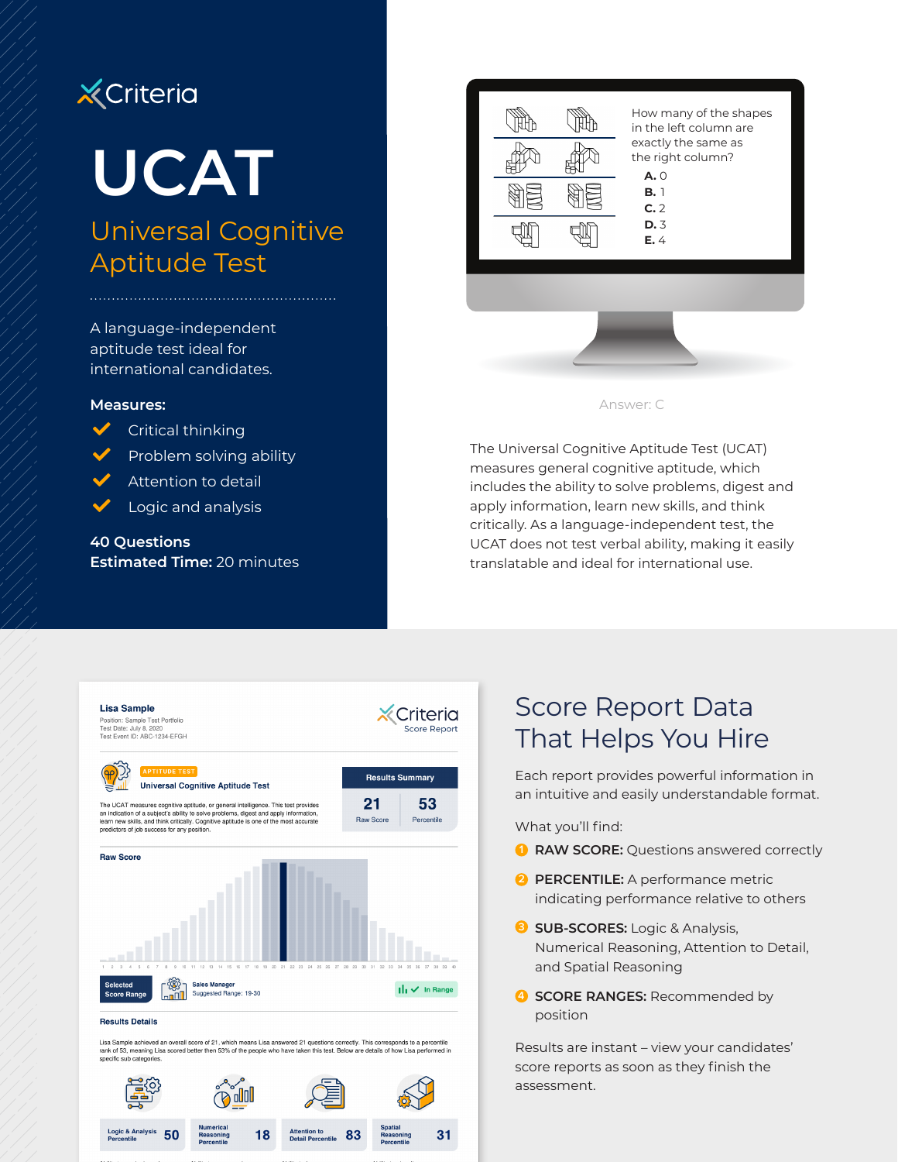# **X** Criteria

# **UCAT**

## Universal Cognitive Aptitude Test

A language-independent aptitude test ideal for international candidates.

#### **Measures:**



- $\sqrt{\phantom{a}}$  Critical thinking
- Problem solving ability
- $\blacktriangleright$  Attention to detail
- $\blacktriangleright$  Logic and analysis

**40 Questions Estimated Time:** 20 minutes





The Universal Cognitive Aptitude Test (UCAT) measures general cognitive aptitude, which includes the ability to solve problems, digest and apply information, learn new skills, and think critically. As a language-independent test, the UCAT does not test verbal ability, making it easily translatable and ideal for international use.



Lisa Sample achieved an overall score of 21, which means Lisa answered 21 questions correctly. This corresponds to a percentile<br>rank of 53, meaning Lisa scored better then 53% of the people who have taken this test. Below specific sub categor



## Score Report Data That Helps You Hire

Each report provides powerful information in an intuitive and easily understandable format.

What you'll find:

- **1 RAW SCORE:** Questions answered correctly
- **2 PERCENTILE:** A performance metric indicating performance relative to others
- **3 SUB-SCORES:** Logic & Analysis, Numerical Reasoning, Attention to Detail, and Spatial Reasoning
- **4 SCORE RANGES:** Recommended by position

Results are instant – view your candidates' score reports as soon as they finish the assessment.